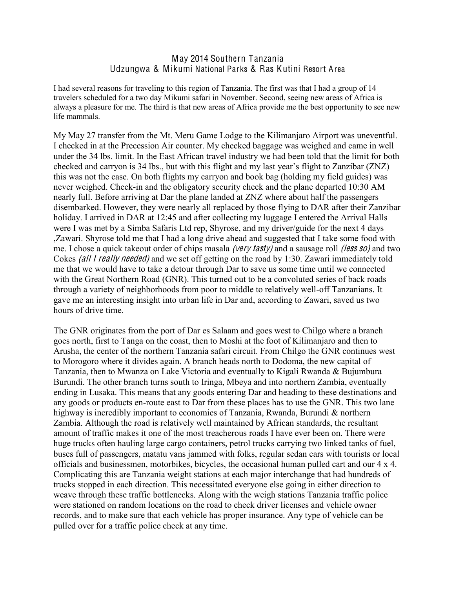## May 2014 Southern Tanzania Udzungwa & Mikumi National Par ks & Ras Kutini Resort Area

I had several reasons for traveling to this region of Tanzania. The first was that I had a group of 14 travelers scheduled for a two day Mikumi safari in November. Second, seeing new areas of Africa is always a pleasure for me. The third is that new areas of Africa provide me the best opportunity to see new life mammals.

My May 27 transfer from the Mt. Meru Game Lodge to the Kilimanjaro Airport was uneventful. I checked in at the Precession Air counter. My checked baggage was weighed and came in well under the 34 lbs. limit. In the East African travel industry we had been told that the limit for both checked and carryon is 34 lbs., but with this flight and my last year's flight to Zanzibar (ZNZ) this was not the case. On both flights my carryon and book bag (holding my field guides) was never weighed. Check-in and the obligatory security check and the plane departed 10:30 AM nearly full. Before arriving at Dar the plane landed at ZNZ where about half the passengers disembarked. However, they were nearly all replaced by those flying to DAR after their Zanzibar holiday. I arrived in DAR at 12:45 and after collecting my luggage I entered the Arrival Halls were I was met by a Simba Safaris Ltd rep, Shyrose, and my driver/guide for the next 4 days ,Zawari. Shyrose told me that I had a long drive ahead and suggested that I take some food with me. I chose a quick takeout order of chips masala *(very tasty)* and a sausage roll *(less so)* and two Cokes (all I <sup>r</sup><sup>e</sup>ally <sup>n</sup>eeded) and we set off getting on the road by 1:30. Zawari immediately told me that we would have to take a detour through Dar to save us some time until we connected with the Great Northern Road (GNR). This turned out to be a convoluted series of back roads through a variety of neighborhoods from poor to middle to relatively well-off Tanzanians. It gave me an interesting insight into urban life in Dar and, according to Zawari, saved us two hours of drive time.

The GNR originates from the port of Dar es Salaam and goes west to Chilgo where a branch goes north, first to Tanga on the coast, then to Moshi at the foot of Kilimanjaro and then to Arusha, the center of the northern Tanzania safari circuit. From Chilgo the GNR continues west to Morogoro where it divides again. A branch heads north to Dodoma, the new capital of Tanzania, then to Mwanza on Lake Victoria and eventually to Kigali Rwanda & Bujumbura Burundi. The other branch turns south to Iringa, Mbeya and into northern Zambia, eventually ending in Lusaka. This means that any goods entering Dar and heading to these destinations and any goods or products en-route east to Dar from these places has to use the GNR. This two lane highway is incredibly important to economies of Tanzania, Rwanda, Burundi & northern Zambia. Although the road is relatively well maintained by African standards, the resultant amount of traffic makes it one of the most treacherous roads I have ever been on. There were huge trucks often hauling large cargo containers, petrol trucks carrying two linked tanks of fuel, buses full of passengers, matatu vans jammed with folks, regular sedan cars with tourists or local officials and businessmen, motorbikes, bicycles, the occasional human pulled cart and our 4 x 4. Complicating this are Tanzania weight stations at each major interchange that had hundreds of trucks stopped in each direction. This necessitated everyone else going in either direction to weave through these traffic bottlenecks. Along with the weigh stations Tanzania traffic police were stationed on random locations on the road to check driver licenses and vehicle owner records, and to make sure that each vehicle has proper insurance. Any type of vehicle can be pulled over for a traffic police check at any time.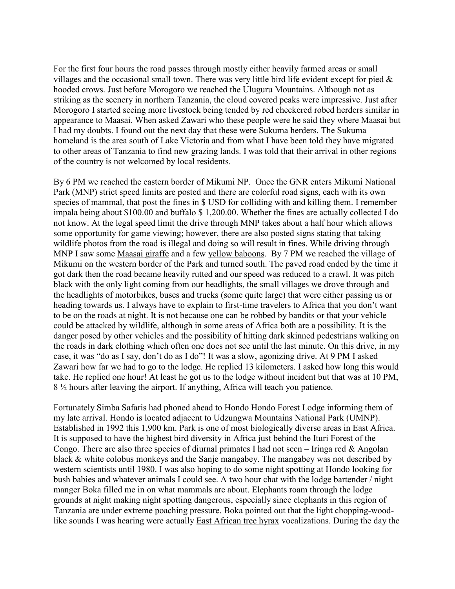For the first four hours the road passes through mostly either heavily farmed areas or small villages and the occasional small town. There was very little bird life evident except for pied  $\&$ hooded crows. Just before Morogoro we reached the Uluguru Mountains. Although not as striking as the scenery in northern Tanzania, the cloud covered peaks were impressive. Just after Morogoro I started seeing more livestock being tended by red checkered robed herders similar in appearance to Maasai. When asked Zawari who these people were he said they where Maasai but I had my doubts. I found out the next day that these were Sukuma herders. The Sukuma homeland is the area south of Lake Victoria and from what I have been told they have migrated to other areas of Tanzania to find new grazing lands. I was told that their arrival in other regions of the country is not welcomed by local residents.

By 6 PM we reached the eastern border of Mikumi NP. Once the GNR enters Mikumi National Park (MNP) strict speed limits are posted and there are colorful road signs, each with its own species of mammal, that post the fines in \$ USD for colliding with and killing them. I remember impala being about \$100.00 and buffalo \$ 1,200.00. Whether the fines are actually collected I do not know. At the legal speed limit the drive through MNP takes about a half hour which allows some opportunity for game viewing; however, there are also posted signs stating that taking wildlife photos from the road is illegal and doing so will result in fines. While driving through MNP I saw some Maasai giraffe and a few yellow baboons. By 7 PM we reached the village of Mikumi on the western border of the Park and turned south. The paved road ended by the time it got dark then the road became heavily rutted and our speed was reduced to a crawl. It was pitch black with the only light coming from our headlights, the small villages we drove through and the headlights of motorbikes, buses and trucks (some quite large) that were either passing us or heading towards us. I always have to explain to first-time travelers to Africa that you don't want to be on the roads at night. It is not because one can be robbed by bandits or that your vehicle could be attacked by wildlife, although in some areas of Africa both are a possibility. It is the danger posed by other vehicles and the possibility of hitting dark skinned pedestrians walking on the roads in dark clothing which often one does not see until the last minute. On this drive, in my case, it was "do as I say, don't do as I do"! It was a slow, agonizing drive. At 9 PM I asked Zawari how far we had to go to the lodge. He replied 13 kilometers. I asked how long this would take. He replied one hour! At least he got us to the lodge without incident but that was at 10 PM, 8 ½ hours after leaving the airport. If anything, Africa will teach you patience.

Fortunately Simba Safaris had phoned ahead to Hondo Hondo Forest Lodge informing them of my late arrival. Hondo is located adjacent to Udzungwa Mountains National Park (UMNP). Established in 1992 this 1,900 km. Park is one of most biologically diverse areas in East Africa. It is supposed to have the highest bird diversity in Africa just behind the Ituri Forest of the Congo. There are also three species of diurnal primates I had not seen  $-$  Iringa red & Angolan black & white colobus monkeys and the Sanje mangabey. The mangabey was not described by western scientists until 1980. I was also hoping to do some night spotting at Hondo looking for bush babies and whatever animals I could see. A two hour chat with the lodge bartender / night manger Boka filled me in on what mammals are about. Elephants roam through the lodge grounds at night making night spotting dangerous, especially since elephants in this region of Tanzania are under extreme poaching pressure. Boka pointed out that the light chopping-woodlike sounds I was hearing were actually East African tree hyrax vocalizations. During the day the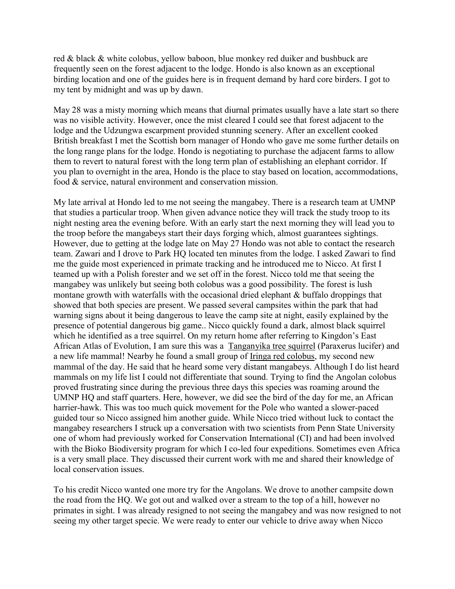red & black & white colobus, yellow baboon, blue monkey red duiker and bushbuck are frequently seen on the forest adjacent to the lodge. Hondo is also known as an exceptional birding location and one of the guides here is in frequent demand by hard core birders. I got to my tent by midnight and was up by dawn.

May 28 was a misty morning which means that diurnal primates usually have a late start so there was no visible activity. However, once the mist cleared I could see that forest adjacent to the lodge and the Udzungwa escarpment provided stunning scenery. After an excellent cooked British breakfast I met the Scottish born manager of Hondo who gave me some further details on the long range plans for the lodge. Hondo is negotiating to purchase the adjacent farms to allow them to revert to natural forest with the long term plan of establishing an elephant corridor. If you plan to overnight in the area, Hondo is the place to stay based on location, accommodations, food & service, natural environment and conservation mission.

My late arrival at Hondo led to me not seeing the mangabey. There is a research team at UMNP that studies a particular troop. When given advance notice they will track the study troop to its night nesting area the evening before. With an early start the next morning they will lead you to the troop before the mangabeys start their days forging which, almost guarantees sightings. However, due to getting at the lodge late on May 27 Hondo was not able to contact the research team. Zawari and I drove to Park HQ located ten minutes from the lodge. I asked Zawari to find me the guide most experienced in primate tracking and he introduced me to Nicco. At first I teamed up with a Polish forester and we set off in the forest. Nicco told me that seeing the mangabey was unlikely but seeing both colobus was a good possibility. The forest is lush montane growth with waterfalls with the occasional dried elephant & buffalo droppings that showed that both species are present. We passed several campsites within the park that had warning signs about it being dangerous to leave the camp site at night, easily explained by the presence of potential dangerous big game.. Nicco quickly found a dark, almost black squirrel which he identified as a tree squirrel. On my return home after referring to Kingdon's East African Atlas of Evolution, I am sure this was a Tanganyika tree squirrel (Paraxerus lucifer) and a new life mammal! Nearby he found a small group of Iringa red colobus, my second new mammal of the day. He said that he heard some very distant mangabeys. Although I do list heard mammals on my life list I could not differentiate that sound. Trying to find the Angolan colobus proved frustrating since during the previous three days this species was roaming around the UMNP HQ and staff quarters. Here, however, we did see the bird of the day for me, an African harrier-hawk. This was too much quick movement for the Pole who wanted a slower-paced guided tour so Nicco assigned him another guide. While Nicco tried without luck to contact the mangabey researchers I struck up a conversation with two scientists from Penn State University one of whom had previously worked for Conservation International (CI) and had been involved with the Bioko Biodiversity program for which I co-led four expeditions. Sometimes even Africa is a very small place. They discussed their current work with me and shared their knowledge of local conservation issues.

To his credit Nicco wanted one more try for the Angolans. We drove to another campsite down the road from the HQ. We got out and walked over a stream to the top of a hill, however no primates in sight. I was already resigned to not seeing the mangabey and was now resigned to not seeing my other target specie. We were ready to enter our vehicle to drive away when Nicco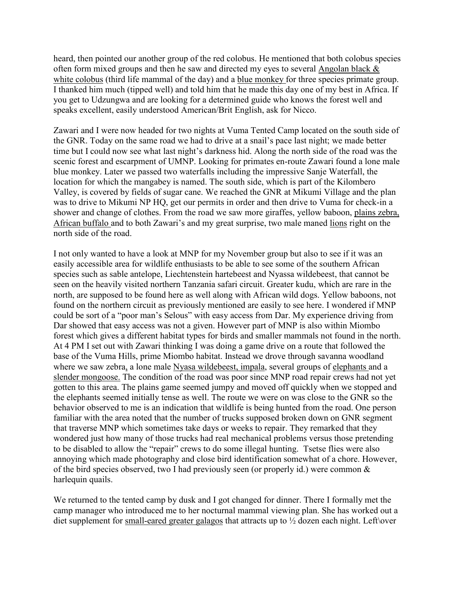heard, then pointed our another group of the red colobus. He mentioned that both colobus species often form mixed groups and then he saw and directed my eyes to several Angolan black & white colobus (third life mammal of the day) and a blue monkey for three species primate group. I thanked him much (tipped well) and told him that he made this day one of my best in Africa. If you get to Udzungwa and are looking for a determined guide who knows the forest well and speaks excellent, easily understood American/Brit English, ask for Nicco.

Zawari and I were now headed for two nights at Vuma Tented Camp located on the south side of the GNR. Today on the same road we had to drive at a snail's pace last night; we made better time but I could now see what last night's darkness hid. Along the north side of the road was the scenic forest and escarpment of UMNP. Looking for primates en-route Zawari found a lone male blue monkey. Later we passed two waterfalls including the impressive Sanje Waterfall, the location for which the mangabey is named. The south side, which is part of the Kilombero Valley, is covered by fields of sugar cane. We reached the GNR at Mikumi Village and the plan was to drive to Mikumi NP HQ, get our permits in order and then drive to Vuma for check-in a shower and change of clothes. From the road we saw more giraffes, yellow baboon, plains zebra, African buffalo and to both Zawari's and my great surprise, two male maned lions right on the north side of the road.

I not only wanted to have a look at MNP for my November group but also to see if it was an easily accessible area for wildlife enthusiasts to be able to see some of the southern African species such as sable antelope, Liechtenstein hartebeest and Nyassa wildebeest, that cannot be seen on the heavily visited northern Tanzania safari circuit. Greater kudu, which are rare in the north, are supposed to be found here as well along with African wild dogs. Yellow baboons, not found on the northern circuit as previously mentioned are easily to see here. I wondered if MNP could be sort of a "poor man's Selous" with easy access from Dar. My experience driving from Dar showed that easy access was not a given. However part of MNP is also within Miombo forest which gives a different habitat types for birds and smaller mammals not found in the north. At 4 PM I set out with Zawari thinking I was doing a game drive on a route that followed the base of the Vuma Hills, prime Miombo habitat. Instead we drove through savanna woodland where we saw zebra, a lone male Nyasa wildebeest, impala, several groups of elephants and a slender mongoose. The condition of the road was poor since MNP road repair crews had not yet gotten to this area. The plains game seemed jumpy and moved off quickly when we stopped and the elephants seemed initially tense as well. The route we were on was close to the GNR so the behavior observed to me is an indication that wildlife is being hunted from the road. One person familiar with the area noted that the number of trucks supposed broken down on GNR segment that traverse MNP which sometimes take days or weeks to repair. They remarked that they wondered just how many of those trucks had real mechanical problems versus those pretending to be disabled to allow the "repair" crews to do some illegal hunting. Tsetse flies were also annoying which made photography and close bird identification somewhat of a chore. However, of the bird species observed, two I had previously seen (or properly id.) were common  $\&$ harlequin quails.

We returned to the tented camp by dusk and I got changed for dinner. There I formally met the camp manager who introduced me to her nocturnal mammal viewing plan. She has worked out a diet supplement for small-eared greater galagos that attracts up to  $\frac{1}{2}$  dozen each night. Left\over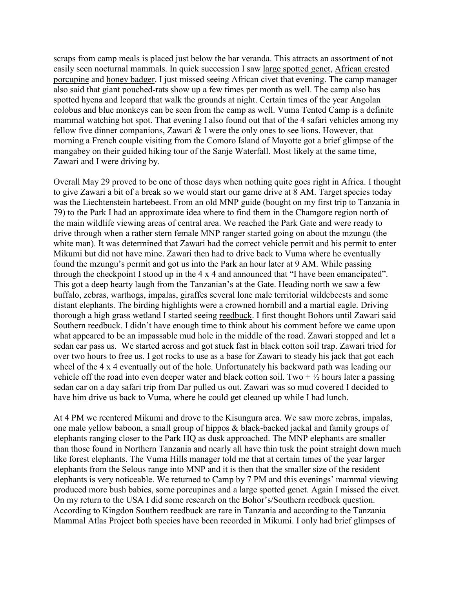scraps from camp meals is placed just below the bar veranda. This attracts an assortment of not easily seen nocturnal mammals. In quick succession I saw large spotted genet, African crested porcupine and honey badger. I just missed seeing African civet that evening. The camp manager also said that giant pouched-rats show up a few times per month as well. The camp also has spotted hyena and leopard that walk the grounds at night. Certain times of the year Angolan colobus and blue monkeys can be seen from the camp as well. Vuma Tented Camp is a definite mammal watching hot spot. That evening I also found out that of the 4 safari vehicles among my fellow five dinner companions, Zawari  $&$  I were the only ones to see lions. However, that morning a French couple visiting from the Comoro Island of Mayotte got a brief glimpse of the mangabey on their guided hiking tour of the Sanje Waterfall. Most likely at the same time, Zawari and I were driving by.

Overall May 29 proved to be one of those days when nothing quite goes right in Africa. I thought to give Zawari a bit of a break so we would start our game drive at 8 AM. Target species today was the Liechtenstein hartebeest. From an old MNP guide (bought on my first trip to Tanzania in 79) to the Park I had an approximate idea where to find them in the Chamgore region north of the main wildlife viewing areas of central area. We reached the Park Gate and were ready to drive through when a rather stern female MNP ranger started going on about the mzungu (the white man). It was determined that Zawari had the correct vehicle permit and his permit to enter Mikumi but did not have mine. Zawari then had to drive back to Vuma where he eventually found the mzungu's permit and got us into the Park an hour later at 9 AM. While passing through the checkpoint I stood up in the  $4 \times 4$  and announced that "I have been emancipated". This got a deep hearty laugh from the Tanzanian's at the Gate. Heading north we saw a few buffalo, zebras, warthogs, impalas, giraffes several lone male territorial wildebeests and some distant elephants. The birding highlights were a crowned hornbill and a martial eagle. Driving thorough a high grass wetland I started seeing reedbuck. I first thought Bohors until Zawari said Southern reedbuck. I didn't have enough time to think about his comment before we came upon what appeared to be an impassable mud hole in the middle of the road. Zawari stopped and let a sedan car pass us. We started across and got stuck fast in black cotton soil trap. Zawari tried for over two hours to free us. I got rocks to use as a base for Zawari to steady his jack that got each wheel of the 4 x 4 eventually out of the hole. Unfortunately his backward path was leading our vehicle off the road into even deeper water and black cotton soil. Two  $+ \frac{1}{2}$  hours later a passing sedan car on a day safari trip from Dar pulled us out. Zawari was so mud covered I decided to have him drive us back to Vuma, where he could get cleaned up while I had lunch.

At 4 PM we reentered Mikumi and drove to the Kisungura area. We saw more zebras, impalas, one male yellow baboon, a small group of hippos & black-backed jackal and family groups of elephants ranging closer to the Park HQ as dusk approached. The MNP elephants are smaller than those found in Northern Tanzania and nearly all have thin tusk the point straight down much like forest elephants. The Vuma Hills manager told me that at certain times of the year larger elephants from the Selous range into MNP and it is then that the smaller size of the resident elephants is very noticeable. We returned to Camp by 7 PM and this evenings' mammal viewing produced more bush babies, some porcupines and a large spotted genet. Again I missed the civet. On my return to the USA I did some research on the Bohor's/Southern reedbuck question. According to Kingdon Southern reedbuck are rare in Tanzania and according to the Tanzania Mammal Atlas Project both species have been recorded in Mikumi. I only had brief glimpses of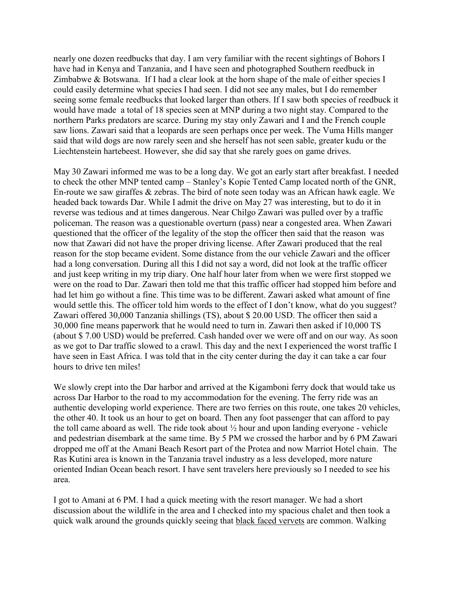nearly one dozen reedbucks that day. I am very familiar with the recent sightings of Bohors I have had in Kenya and Tanzania, and I have seen and photographed Southern reedbuck in Zimbabwe & Botswana. If I had a clear look at the horn shape of the male of either species I could easily determine what species I had seen. I did not see any males, but I do remember seeing some female reedbucks that looked larger than others. If I saw both species of reedbuck it would have made a total of 18 species seen at MNP during a two night stay. Compared to the northern Parks predators are scarce. During my stay only Zawari and I and the French couple saw lions. Zawari said that a leopards are seen perhaps once per week. The Vuma Hills manger said that wild dogs are now rarely seen and she herself has not seen sable, greater kudu or the Liechtenstein hartebeest. However, she did say that she rarely goes on game drives.

May 30 Zawari informed me was to be a long day. We got an early start after breakfast. I needed to check the other MNP tented camp – Stanley's Kopie Tented Camp located north of the GNR, En-route we saw giraffes & zebras. The bird of note seen today was an African hawk eagle. We headed back towards Dar. While I admit the drive on May 27 was interesting, but to do it in reverse was tedious and at times dangerous. Near Chilgo Zawari was pulled over by a traffic policeman. The reason was a questionable overturn (pass) near a congested area. When Zawari questioned that the officer of the legality of the stop the officer then said that the reason was now that Zawari did not have the proper driving license. After Zawari produced that the real reason for the stop became evident. Some distance from the our vehicle Zawari and the officer had a long conversation. During all this I did not say a word, did not look at the traffic officer and just keep writing in my trip diary. One half hour later from when we were first stopped we were on the road to Dar. Zawari then told me that this traffic officer had stopped him before and had let him go without a fine. This time was to be different. Zawari asked what amount of fine would settle this. The officer told him words to the effect of I don't know, what do you suggest? Zawari offered 30,000 Tanzania shillings (TS), about \$ 20.00 USD. The officer then said a 30,000 fine means paperwork that he would need to turn in. Zawari then asked if 10,000 TS (about \$ 7.00 USD) would be preferred. Cash handed over we were off and on our way. As soon as we got to Dar traffic slowed to a crawl. This day and the next I experienced the worst traffic I have seen in East Africa. I was told that in the city center during the day it can take a car four hours to drive ten miles!

We slowly crept into the Dar harbor and arrived at the Kigamboni ferry dock that would take us across Dar Harbor to the road to my accommodation for the evening. The ferry ride was an authentic developing world experience. There are two ferries on this route, one takes 20 vehicles, the other 40. It took us an hour to get on board. Then any foot passenger that can afford to pay the toll came aboard as well. The ride took about ½ hour and upon landing everyone - vehicle and pedestrian disembark at the same time. By 5 PM we crossed the harbor and by 6 PM Zawari dropped me off at the Amani Beach Resort part of the Protea and now Marriot Hotel chain. The Ras Kutini area is known in the Tanzania travel industry as a less developed, more nature oriented Indian Ocean beach resort. I have sent travelers here previously so I needed to see his area.

I got to Amani at 6 PM. I had a quick meeting with the resort manager. We had a short discussion about the wildlife in the area and I checked into my spacious chalet and then took a quick walk around the grounds quickly seeing that black faced vervets are common. Walking